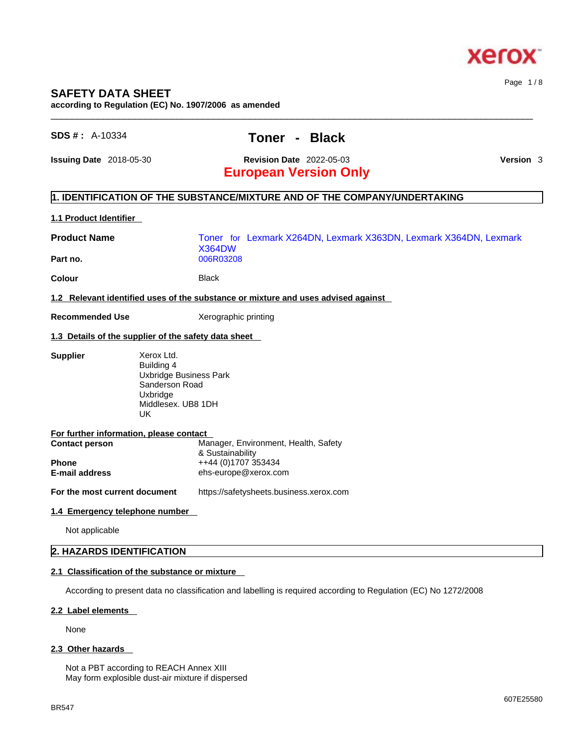

## **SAFETY DATA SHEET**

**according to Regulation (EC) No. 1907/2006 as amended** 

# **SDS # :** A-10334 **Toner - Black**

 $\_$  ,  $\_$  ,  $\_$  ,  $\_$  ,  $\_$  ,  $\_$  ,  $\_$  ,  $\_$  ,  $\_$  ,  $\_$  ,  $\_$  ,  $\_$  ,  $\_$  ,  $\_$  ,  $\_$  ,  $\_$  ,  $\_$  ,  $\_$  ,  $\_$  ,  $\_$  ,  $\_$  ,  $\_$  ,  $\_$  ,  $\_$  ,  $\_$  ,  $\_$  ,  $\_$  ,  $\_$  ,  $\_$  ,  $\_$  ,  $\_$  ,  $\_$  ,  $\_$  ,  $\_$  ,  $\_$  ,  $\_$  ,  $\_$  ,

**Issuing Date** 2018-05-30 **Revision Date** 2022-05-03 **Version** 3

Page 1 / 8

# **European Version Only**

### **1. IDENTIFICATION OF THE SUBSTANCE/MIXTURE AND OF THE COMPANY/UNDERTAKING**

#### **1.1 Product Identifier**

#### **2.1 Classification of the substance or mixture**

According to present data no classification and labelling is required according to Regulation (EC) No 1272/2008

#### **2.2 Label elements**

None

#### **2.3 Other hazards**

Not a PBT according to REACH Annex XIII May form explosible dust-air mixture if dispersed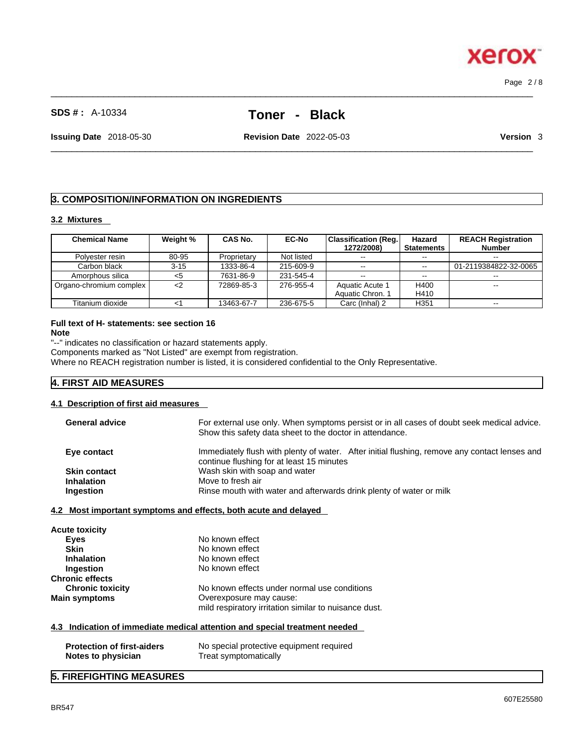# **SDS # :** A-10334 **Toner - Black**

 $\_$  ,  $\_$  ,  $\_$  ,  $\_$  ,  $\_$  ,  $\_$  ,  $\_$  ,  $\_$  ,  $\_$  ,  $\_$  ,  $\_$  ,  $\_$  ,  $\_$  ,  $\_$  ,  $\_$  ,  $\_$  ,  $\_$  ,  $\_$  ,  $\_$  ,  $\_$  ,  $\_$  ,  $\_$  ,  $\_$  ,  $\_$  ,  $\_$  ,  $\_$  ,  $\_$  ,  $\_$  ,  $\_$  ,  $\_$  ,  $\_$  ,  $\_$  ,  $\_$  ,  $\_$  ,  $\_$  ,  $\_$  ,  $\_$  ,

**Issuing Date** 2018-05-30 **Revision Date** 2022-05-03 **Version** 3

# **3. COMPOSITION/INFORMATION ON INGREDIENTS**

#### **3.2 Mixtures**

| <b>Chemical Name</b>    | Weight % | CAS No.     | <b>EC-No</b> | <b>Classification (Reg.</b> | Hazard            | <b>REACH Registration</b> |
|-------------------------|----------|-------------|--------------|-----------------------------|-------------------|---------------------------|
|                         |          |             |              | 1272/2008)                  | <b>Statements</b> | <b>Number</b>             |
| Polyester resin         | 80-95    | Proprietary | Not listed   | $- -$                       | --                | $- -$                     |
| Carbon black            | $3 - 15$ | 1333-86-4   | 215-609-9    | $- -$                       |                   | 01-2119384822-32-0065     |
| Amorphous silica        | <5       | 7631-86-9   | 231-545-4    | $\sim$ $\sim$               | $-1$              | $- -$                     |
| Organo-chromium complex | <2       | 72869-85-3  | 276-955-4    | Aquatic Acute 1             | H400              | $- -$                     |
|                         |          |             |              | Aquatic Chron. 1            | H410              |                           |
| Titanium dioxide        |          | 13463-67-7  | 236-675-5    | Carc (Inhal) 2              | H <sub>351</sub>  |                           |

# **Full text of H- statements: see section 16**

**Note**

"--" indicates no classification or hazard statements apply.

Components marked as "Not Listed" are exempt from registration.

Where no REACH registration number is listed, it is considered confidential to the Only Representative.

#### **4. FIRST AID MEASURES**

#### **4.1 Description of first aid measures**

| <b>General advice</b> | For external use only. When symptoms persist or in all cases of doubt seek medical advice.<br>Show this safety data sheet to the doctor in attendance. |
|-----------------------|--------------------------------------------------------------------------------------------------------------------------------------------------------|
| Eye contact           | Immediately flush with plenty of water. After initial flushing, remove any contact lenses and<br>continue flushing for at least 15 minutes             |
| <b>Skin contact</b>   | Wash skin with soap and water                                                                                                                          |
| <b>Inhalation</b>     | Move to fresh air                                                                                                                                      |
| Ingestion             | Rinse mouth with water and afterwards drink plenty of water or milk                                                                                    |
|                       |                                                                                                                                                        |

#### **4.2 Most important symptoms and effects, both acute and delayed**

| <b>Acute toxicity</b>   |                                                       |
|-------------------------|-------------------------------------------------------|
| Eyes                    | No known effect                                       |
| <b>Skin</b>             | No known effect                                       |
| <b>Inhalation</b>       | No known effect                                       |
| Ingestion               | No known effect                                       |
| <b>Chronic effects</b>  |                                                       |
| <b>Chronic toxicity</b> | No known effects under normal use conditions          |
| <b>Main symptoms</b>    | Overexposure may cause:                               |
|                         | mild respiratory irritation similar to nuisance dust. |

### **4.3 Indication of immediate medical attention and special treatment needed**

| <b>Protection of first-aiders</b> | No special protective equipment required |
|-----------------------------------|------------------------------------------|
| Notes to physician                | Treat symptomatically                    |

#### **5. FIREFIGHTING MEASURES**



 $\_$  ,  $\_$  ,  $\_$  ,  $\_$  ,  $\_$  ,  $\_$  ,  $\_$  ,  $\_$  ,  $\_$  ,  $\_$  ,  $\_$  ,  $\_$  ,  $\_$  ,  $\_$  ,  $\_$  ,  $\_$  ,  $\_$  ,  $\_$  ,  $\_$  ,  $\_$  ,  $\_$  ,  $\_$  ,  $\_$  ,  $\_$  ,  $\_$  ,  $\_$  ,  $\_$  ,  $\_$  ,  $\_$  ,  $\_$  ,  $\_$  ,  $\_$  ,  $\_$  ,  $\_$  ,  $\_$  ,  $\_$  ,  $\_$  , Page 2 / 8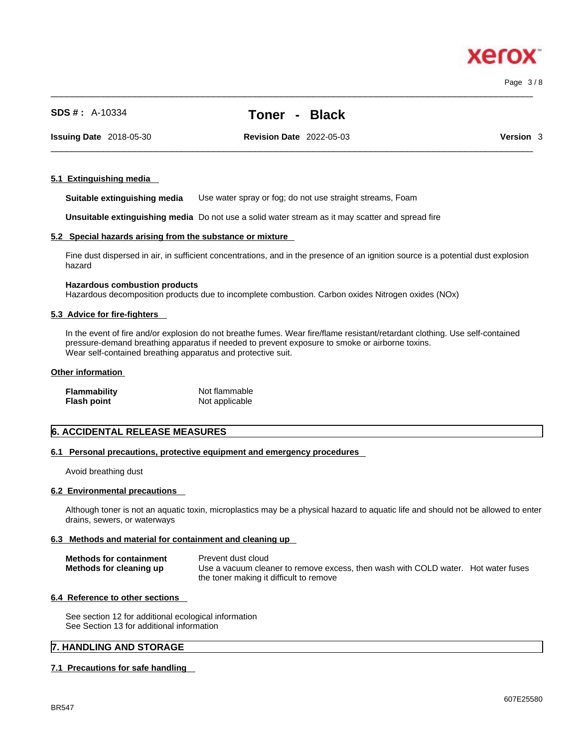Page 3 / 8

xero

# **SDS # :** A-10334 **Toner - Black**

 $\_$  ,  $\_$  ,  $\_$  ,  $\_$  ,  $\_$  ,  $\_$  ,  $\_$  ,  $\_$  ,  $\_$  ,  $\_$  ,  $\_$  ,  $\_$  ,  $\_$  ,  $\_$  ,  $\_$  ,  $\_$  ,  $\_$  ,  $\_$  ,  $\_$  ,  $\_$  ,  $\_$  ,  $\_$  ,  $\_$  ,  $\_$  ,  $\_$  ,  $\_$  ,  $\_$  ,  $\_$  ,  $\_$  ,  $\_$  ,  $\_$  ,  $\_$  ,  $\_$  ,  $\_$  ,  $\_$  ,  $\_$  ,  $\_$  ,

**Issuing Date** 2018-05-30 **Revision Date** 2022-05-03 **Version** 3

 $\_$  ,  $\_$  ,  $\_$  ,  $\_$  ,  $\_$  ,  $\_$  ,  $\_$  ,  $\_$  ,  $\_$  ,  $\_$  ,  $\_$  ,  $\_$  ,  $\_$  ,  $\_$  ,  $\_$  ,  $\_$  ,  $\_$  ,  $\_$  ,  $\_$  ,  $\_$  ,  $\_$  ,  $\_$  ,  $\_$  ,  $\_$  ,  $\_$  ,  $\_$  ,  $\_$  ,  $\_$  ,  $\_$  ,  $\_$  ,  $\_$  ,  $\_$  ,  $\_$  ,  $\_$  ,  $\_$  ,  $\_$  ,  $\_$  ,

#### **5.1 Extinguishing media**

**Suitable extinguishing media** Use water spray or fog; do not use straight streams, Foam

**Unsuitable extinguishing media** Do not use a solid water stream as it may scatterand spread fire

#### **5.2 Special hazards arising from the substance or mixture**

Fine dust dispersed in air, in sufficient concentrations, and in the presence of an ignition source is a potential dust explosion hazard

#### **Hazardous combustion products**

Hazardous decomposition products due to incomplete combustion. Carbon oxides Nitrogen oxides (NOx)

#### **5.3 Advice for fire-fighters**

In the event of fire and/or explosion do not breathe fumes. Wear fire/flame resistant/retardant clothing. Use self-contained pressure-demand breathing apparatus if needed to prevent exposure to smoke or airborne toxins. Wear self-contained breathing apparatus and protective suit.

#### **Other information**

| <b>Flammability</b> | Not flammable  |
|---------------------|----------------|
| <b>Flash point</b>  | Not applicable |

#### **6. ACCIDENTAL RELEASE MEASURES**

#### **6.1 Personal precautions, protective equipment and emergency procedures**

Avoid breathing dust

#### **6.2 Environmental precautions**

Although toner is not an aquatic toxin, microplastics may be a physical hazard to aquatic life and should not be allowed to enter drains, sewers, or waterways

#### **6.3 Methods and material for containment and cleaning up**

| <b>Methods for containment</b> | Prevent dust cloud                                                                |
|--------------------------------|-----------------------------------------------------------------------------------|
| Methods for cleaning up        | Use a vacuum cleaner to remove excess, then wash with COLD water. Hot water fuses |
|                                | the toner making it difficult to remove                                           |

#### **6.4 Reference to other sections**

See section 12 for additional ecological information See Section 13 for additional information

#### **7. HANDLING AND STORAGE**

#### **7.1 Precautions for safe handling**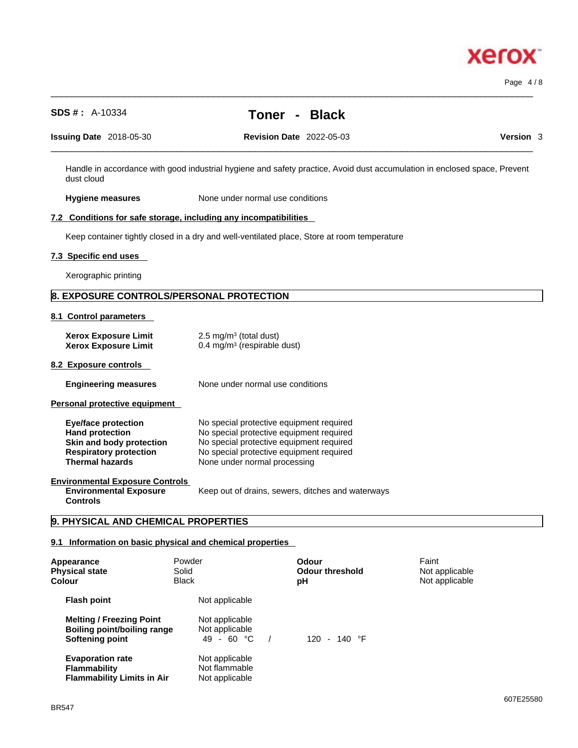Page 4 / 8

| <b>SDS #:</b> A-10334                                                                                                                       |                                                                      | <b>Toner</b><br><b>Black</b><br>$\sim 100$                                                                                                                                                                   |                                                                                                                           |
|---------------------------------------------------------------------------------------------------------------------------------------------|----------------------------------------------------------------------|--------------------------------------------------------------------------------------------------------------------------------------------------------------------------------------------------------------|---------------------------------------------------------------------------------------------------------------------------|
| <b>Issuing Date</b> 2018-05-30                                                                                                              |                                                                      | <b>Revision Date 2022-05-03</b>                                                                                                                                                                              | Version 3                                                                                                                 |
| dust cloud                                                                                                                                  |                                                                      |                                                                                                                                                                                                              | Handle in accordance with good industrial hygiene and safety practice, Avoid dust accumulation in enclosed space, Prevent |
| <b>Hygiene measures</b>                                                                                                                     |                                                                      | None under normal use conditions                                                                                                                                                                             |                                                                                                                           |
| 7.2 Conditions for safe storage, including any incompatibilities                                                                            |                                                                      |                                                                                                                                                                                                              |                                                                                                                           |
|                                                                                                                                             |                                                                      | Keep container tightly closed in a dry and well-ventilated place, Store at room temperature                                                                                                                  |                                                                                                                           |
| 7.3 Specific end uses                                                                                                                       |                                                                      |                                                                                                                                                                                                              |                                                                                                                           |
| Xerographic printing                                                                                                                        |                                                                      |                                                                                                                                                                                                              |                                                                                                                           |
| <b>8. EXPOSURE CONTROLS/PERSONAL PROTECTION</b>                                                                                             |                                                                      |                                                                                                                                                                                                              |                                                                                                                           |
| 8.1 Control parameters                                                                                                                      |                                                                      |                                                                                                                                                                                                              |                                                                                                                           |
| <b>Xerox Exposure Limit</b><br><b>Xerox Exposure Limit</b>                                                                                  | 2.5 mg/m $3$ (total dust)<br>0.4 mg/m <sup>3</sup> (respirable dust) |                                                                                                                                                                                                              |                                                                                                                           |
| 8.2 Exposure controls                                                                                                                       |                                                                      |                                                                                                                                                                                                              |                                                                                                                           |
| <b>Engineering measures</b>                                                                                                                 |                                                                      | None under normal use conditions                                                                                                                                                                             |                                                                                                                           |
| Personal protective equipment                                                                                                               |                                                                      |                                                                                                                                                                                                              |                                                                                                                           |
| <b>Eye/face protection</b><br><b>Hand protection</b><br>Skin and body protection<br><b>Respiratory protection</b><br><b>Thermal hazards</b> |                                                                      | No special protective equipment required<br>No special protective equipment required<br>No special protective equipment required<br>No special protective equipment required<br>None under normal processing |                                                                                                                           |
| <b>Environmental Exposure Controls</b><br><b>Environmental Exposure</b><br><b>Controls</b>                                                  |                                                                      | Keep out of drains, sewers, ditches and waterways                                                                                                                                                            |                                                                                                                           |
| 9. PHYSICAL AND CHEMICAL PROPERTIES                                                                                                         |                                                                      |                                                                                                                                                                                                              |                                                                                                                           |
| 9.1 Information on basic physical and chemical properties                                                                                   |                                                                      |                                                                                                                                                                                                              |                                                                                                                           |
| Appearance<br><b>Physical state</b><br>Colour                                                                                               | Powder<br>Solid<br><b>Black</b>                                      | <b>Odour</b><br><b>Odour threshold</b><br>рH                                                                                                                                                                 | Faint<br>Not applicable<br>Not applicable                                                                                 |
| <b>Flash point</b>                                                                                                                          | Not applicable                                                       |                                                                                                                                                                                                              |                                                                                                                           |
| <b>Melting / Freezing Point</b>                                                                                                             | Not applicable                                                       |                                                                                                                                                                                                              |                                                                                                                           |

 $\_$  ,  $\_$  ,  $\_$  ,  $\_$  ,  $\_$  ,  $\_$  ,  $\_$  ,  $\_$  ,  $\_$  ,  $\_$  ,  $\_$  ,  $\_$  ,  $\_$  ,  $\_$  ,  $\_$  ,  $\_$  ,  $\_$  ,  $\_$  ,  $\_$  ,  $\_$  ,  $\_$  ,  $\_$  ,  $\_$  ,  $\_$  ,  $\_$  ,  $\_$  ,  $\_$  ,  $\_$  ,  $\_$  ,  $\_$  ,  $\_$  ,  $\_$  ,  $\_$  ,  $\_$  ,  $\_$  ,  $\_$  ,  $\_$  ,

**Softening point** 49 - 60 °C / 120 - 140 °F **Evaporation rate Reserve Server Allection** Not applicable **Flammability** Not flammable **Flammability Limits in Air** Not applicable

**Boiling point/boiling range** Not applicable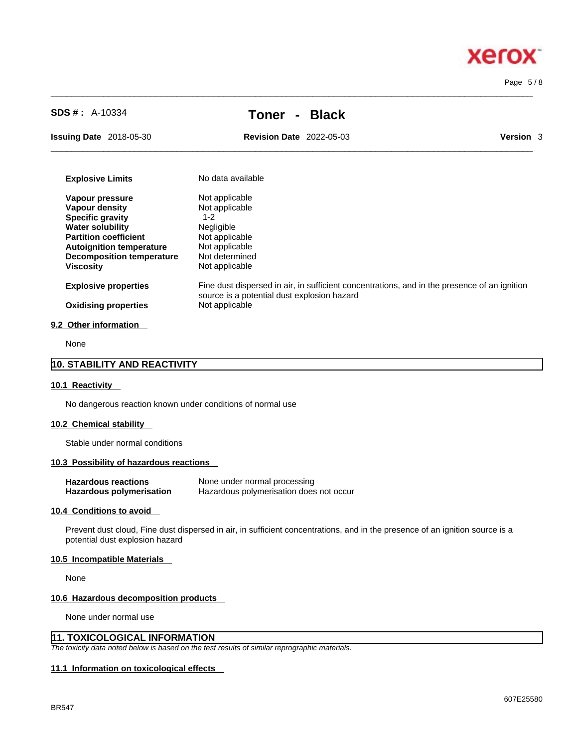xerox

Page 5 / 8

# **SDS # :** A-10334 **Toner - Black**

 $\_$  ,  $\_$  ,  $\_$  ,  $\_$  ,  $\_$  ,  $\_$  ,  $\_$  ,  $\_$  ,  $\_$  ,  $\_$  ,  $\_$  ,  $\_$  ,  $\_$  ,  $\_$  ,  $\_$  ,  $\_$  ,  $\_$  ,  $\_$  ,  $\_$  ,  $\_$  ,  $\_$  ,  $\_$  ,  $\_$  ,  $\_$  ,  $\_$  ,  $\_$  ,  $\_$  ,  $\_$  ,  $\_$  ,  $\_$  ,  $\_$  ,  $\_$  ,  $\_$  ,  $\_$  ,  $\_$  ,  $\_$  ,  $\_$  ,

 $\_$  ,  $\_$  ,  $\_$  ,  $\_$  ,  $\_$  ,  $\_$  ,  $\_$  ,  $\_$  ,  $\_$  ,  $\_$  ,  $\_$  ,  $\_$  ,  $\_$  ,  $\_$  ,  $\_$  ,  $\_$  ,  $\_$  ,  $\_$  ,  $\_$  ,  $\_$  ,  $\_$  ,  $\_$  ,  $\_$  ,  $\_$  ,  $\_$  ,  $\_$  ,  $\_$  ,  $\_$  ,  $\_$  ,  $\_$  ,  $\_$  ,  $\_$  ,  $\_$  ,  $\_$  ,  $\_$  ,  $\_$  ,  $\_$  ,

**Issuing Date** 2018-05-30 **Revision Date** 2022-05-03

| <b>Version</b><br>3 |
|---------------------|
|---------------------|

| <b>Explosive Limits</b>          | No data available                                                                                                                           |
|----------------------------------|---------------------------------------------------------------------------------------------------------------------------------------------|
| Vapour pressure                  | Not applicable                                                                                                                              |
| Vapour density                   | Not applicable                                                                                                                              |
| <b>Specific gravity</b>          | 1-2                                                                                                                                         |
| <b>Water solubility</b>          | <b>Negligible</b>                                                                                                                           |
| <b>Partition coefficient</b>     | Not applicable                                                                                                                              |
| <b>Autoignition temperature</b>  | Not applicable                                                                                                                              |
| <b>Decomposition temperature</b> | Not determined                                                                                                                              |
| <b>Viscosity</b>                 | Not applicable                                                                                                                              |
| <b>Explosive properties</b>      | Fine dust dispersed in air, in sufficient concentrations, and in the presence of an ignition<br>source is a potential dust explosion hazard |
| <b>Oxidising properties</b>      | Not applicable                                                                                                                              |
| 9.2 Other information            |                                                                                                                                             |

None

# **10. STABILITY AND REACTIVITY**

#### **10.1 Reactivity**

No dangerous reaction known under conditions of normal use

#### **10.2 Chemical stability**

Stable under normal conditions

#### **10.3 Possibility of hazardous reactions**

| <b>Hazardous reactions</b>      | None under normal processing            |
|---------------------------------|-----------------------------------------|
| <b>Hazardous polymerisation</b> | Hazardous polymerisation does not occur |

#### **10.4 Conditions to avoid**

Prevent dust cloud, Fine dust dispersed in air, in sufficient concentrations, and in the presence of an ignition source is a potential dust explosion hazard

#### **10.5 Incompatible Materials**

None

#### **10.6 Hazardous decomposition products**

None under normal use

#### **11. TOXICOLOGICAL INFORMATION**

*The toxicity data noted below is based on the test results of similar reprographic materials.* 

#### **11.1 Information on toxicological effects**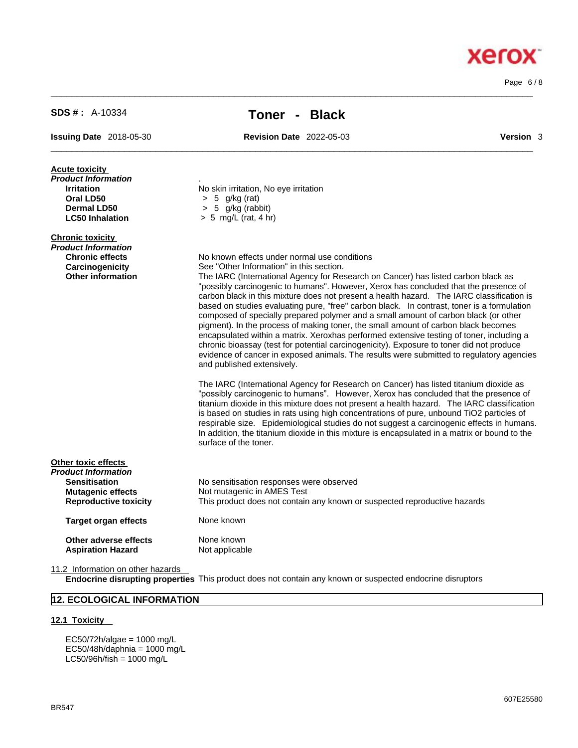11.2 Information on other hazards

**12. ECOLOGICAL INFORMATION**

EC50/72h/algae = 1000 mg/L  $EC50/48h/daphnia = 1000 mg/L$  $LC50/96h/fish = 1000 mg/L$ 

**12.1 Toxicity** 

BR547

| <b>Acute toxicity</b><br><b>Product Information</b><br><b>Irritation</b><br>Oral LD50<br>Dermal LD50<br><b>LC50 Inhalation</b> | No skin irritation, No eye irritation<br>$> 5$ g/kg (rat)<br>$> 5$ g/kg (rabbit)<br>$> 5$ mg/L (rat, 4 hr)                                                                                                                                                                                                                                                                                                                                                                                                                                                                                                                                                                                                                                                                                                                                                                                                                                                      |
|--------------------------------------------------------------------------------------------------------------------------------|-----------------------------------------------------------------------------------------------------------------------------------------------------------------------------------------------------------------------------------------------------------------------------------------------------------------------------------------------------------------------------------------------------------------------------------------------------------------------------------------------------------------------------------------------------------------------------------------------------------------------------------------------------------------------------------------------------------------------------------------------------------------------------------------------------------------------------------------------------------------------------------------------------------------------------------------------------------------|
| <b>Chronic toxicity</b><br>Product Information<br><b>Chronic effects</b><br>Carcinogenicity<br><b>Other information</b>        | No known effects under normal use conditions<br>See "Other Information" in this section.<br>The IARC (International Agency for Research on Cancer) has listed carbon black as<br>"possibly carcinogenic to humans". However, Xerox has concluded that the presence of<br>carbon black in this mixture does not present a health hazard. The IARC classification is<br>based on studies evaluating pure, "free" carbon black. In contrast, toner is a formulation<br>composed of specially prepared polymer and a small amount of carbon black (or other<br>pigment). In the process of making toner, the small amount of carbon black becomes<br>encapsulated within a matrix. Xeroxhas performed extensive testing of toner, including a<br>chronic bioassay (test for potential carcinogenicity). Exposure to toner did not produce<br>evidence of cancer in exposed animals. The results were submitted to regulatory agencies<br>and published extensively. |
|                                                                                                                                | The IARC (International Agency for Research on Cancer) has listed titanium dioxide as<br>"possibly carcinogenic to humans". However, Xerox has concluded that the presence of<br>titanium dioxide in this mixture does not present a health hazard. The IARC classification<br>is based on studies in rats using high concentrations of pure, unbound TiO2 particles of<br>respirable size. Epidemiological studies do not suggest a carcinogenic effects in humans.<br>In addition, the titanium dioxide in this mixture is encapsulated in a matrix or bound to the<br>surface of the toner.                                                                                                                                                                                                                                                                                                                                                                  |
| Other toxic effects<br>Product Information<br><b>Sensitisation</b><br><b>Mutagenic effects</b><br><b>Reproductive toxicity</b> | No sensitisation responses were observed<br>Not mutagenic in AMES Test<br>This product does not contain any known or suspected reproductive hazards                                                                                                                                                                                                                                                                                                                                                                                                                                                                                                                                                                                                                                                                                                                                                                                                             |
| <b>Target organ effects</b>                                                                                                    | None known                                                                                                                                                                                                                                                                                                                                                                                                                                                                                                                                                                                                                                                                                                                                                                                                                                                                                                                                                      |
| Other adverse effects<br><b>Aspiration Hazard</b>                                                                              | None known<br>Not applicable                                                                                                                                                                                                                                                                                                                                                                                                                                                                                                                                                                                                                                                                                                                                                                                                                                                                                                                                    |

**Endocrine disrupting properties** This product does not contain any known or suspected endocrine disruptors

#### $\_$  ,  $\_$  ,  $\_$  ,  $\_$  ,  $\_$  ,  $\_$  ,  $\_$  ,  $\_$  ,  $\_$  ,  $\_$  ,  $\_$  ,  $\_$  ,  $\_$  ,  $\_$  ,  $\_$  ,  $\_$  ,  $\_$  ,  $\_$  ,  $\_$  ,  $\_$  ,  $\_$  ,  $\_$  ,  $\_$  ,  $\_$  ,  $\_$  ,  $\_$  ,  $\_$  ,  $\_$  ,  $\_$  ,  $\_$  ,  $\_$  ,  $\_$  ,  $\_$  ,  $\_$  ,  $\_$  ,  $\_$  ,  $\_$  ,

 $\_$  ,  $\_$  ,  $\_$  ,  $\_$  ,  $\_$  ,  $\_$  ,  $\_$  ,  $\_$  ,  $\_$  ,  $\_$  ,  $\_$  ,  $\_$  ,  $\_$  ,  $\_$  ,  $\_$  ,  $\_$  ,  $\_$  ,  $\_$  ,  $\_$  ,  $\_$  ,  $\_$  ,  $\_$  ,  $\_$  ,  $\_$  ,  $\_$  ,  $\_$  ,  $\_$  ,  $\_$  ,  $\_$  ,  $\_$  ,  $\_$  ,  $\_$  ,  $\_$  ,  $\_$  ,  $\_$  ,  $\_$  ,  $\_$  ,

**SDS # :** A-10334 **Toner - Black**

**Issuing Date** 2018-05-30 **Revision Date** 2022-05-03 **Version** 3

# **Xerox**

Page 6 / 8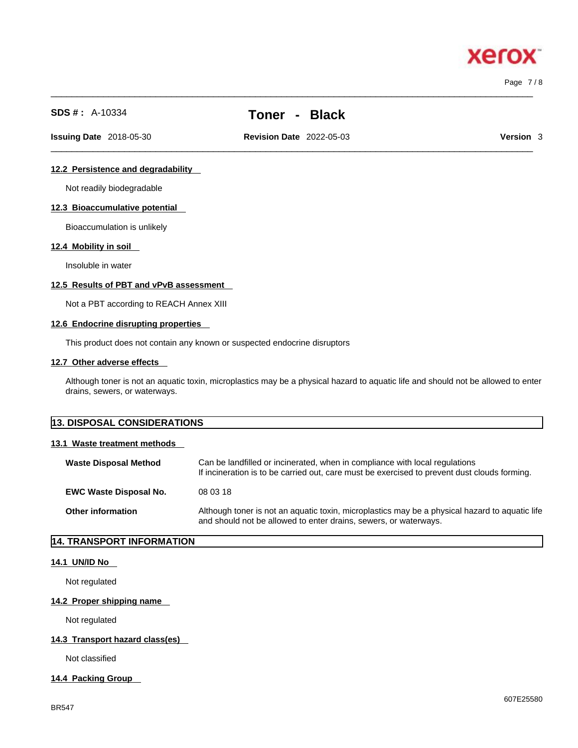Page 7 / 8

xero

# **SDS # :** A-10334 **Toner - Black**

 $\_$  ,  $\_$  ,  $\_$  ,  $\_$  ,  $\_$  ,  $\_$  ,  $\_$  ,  $\_$  ,  $\_$  ,  $\_$  ,  $\_$  ,  $\_$  ,  $\_$  ,  $\_$  ,  $\_$  ,  $\_$  ,  $\_$  ,  $\_$  ,  $\_$  ,  $\_$  ,  $\_$  ,  $\_$  ,  $\_$  ,  $\_$  ,  $\_$  ,  $\_$  ,  $\_$  ,  $\_$  ,  $\_$  ,  $\_$  ,  $\_$  ,  $\_$  ,  $\_$  ,  $\_$  ,  $\_$  ,  $\_$  ,  $\_$  ,

 $\_$  ,  $\_$  ,  $\_$  ,  $\_$  ,  $\_$  ,  $\_$  ,  $\_$  ,  $\_$  ,  $\_$  ,  $\_$  ,  $\_$  ,  $\_$  ,  $\_$  ,  $\_$  ,  $\_$  ,  $\_$  ,  $\_$  ,  $\_$  ,  $\_$  ,  $\_$  ,  $\_$  ,  $\_$  ,  $\_$  ,  $\_$  ,  $\_$  ,  $\_$  ,  $\_$  ,  $\_$  ,  $\_$  ,  $\_$  ,  $\_$  ,  $\_$  ,  $\_$  ,  $\_$  ,  $\_$  ,  $\_$  ,  $\_$  , **Issuing Date** 2018-05-30 **Revision Date** 2022-05-03 **Version** 3

#### **12.2 Persistence and degradability**

Not readily biodegradable

#### **12.3 Bioaccumulative potential**

Bioaccumulation is unlikely

#### **12.4 Mobility in soil**

Insoluble in water

#### **12.5 Results of PBT and vPvB assessment**

Not a PBT according to REACH Annex XIII

#### **12.6 Endocrine disrupting properties**

This product does not contain any known or suspected endocrine disruptors

#### **12.7 Other adverse effects**

Although toner is not an aquatic toxin, microplastics may be a physical hazard to aquatic life and should not be allowed to enter drains, sewers, or waterways.

# **13. DISPOSAL CONSIDERATIONS**

#### **13.1 Waste treatment methods**

| <b>Waste Disposal Method</b>  | Can be landfilled or incinerated, when in compliance with local regulations<br>If incineration is to be carried out, care must be exercised to prevent dust clouds forming. |
|-------------------------------|-----------------------------------------------------------------------------------------------------------------------------------------------------------------------------|
| <b>EWC Waste Disposal No.</b> | 08 03 18                                                                                                                                                                    |
| <b>Other information</b>      | Although toner is not an aquatic toxin, microplastics may be a physical hazard to aquatic life<br>and should not be allowed to enter drains, sewers, or waterways.          |

### **14. TRANSPORT INFORMATION**

#### **14.1 UN/ID No**

Not regulated

#### **14.2 Proper shipping name**

Not regulated

### **14.3 Transport hazard class(es)**

Not classified

#### **14.4 Packing Group**